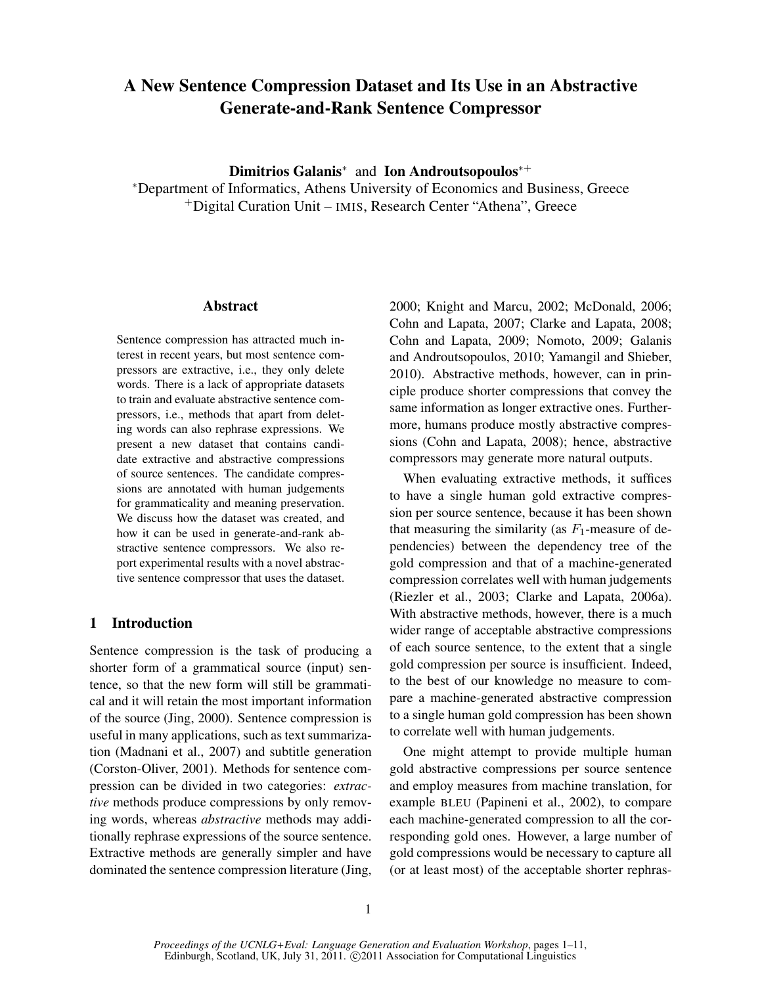# A New Sentence Compression Dataset and Its Use in an Abstractive Generate-and-Rank Sentence Compressor

Dimitrios Galanis<sup>\*</sup> and Ion Androutsopoulos<sup>\*+</sup>

<sup>∗</sup>Department of Informatics, Athens University of Economics and Business, Greece <sup>+</sup>Digital Curation Unit – IMIS, Research Center "Athena", Greece

## Abstract

Sentence compression has attracted much interest in recent years, but most sentence compressors are extractive, i.e., they only delete words. There is a lack of appropriate datasets to train and evaluate abstractive sentence compressors, i.e., methods that apart from deleting words can also rephrase expressions. We present a new dataset that contains candidate extractive and abstractive compressions of source sentences. The candidate compressions are annotated with human judgements for grammaticality and meaning preservation. We discuss how the dataset was created, and how it can be used in generate-and-rank abstractive sentence compressors. We also report experimental results with a novel abstractive sentence compressor that uses the dataset.

# 1 Introduction

Sentence compression is the task of producing a shorter form of a grammatical source (input) sentence, so that the new form will still be grammatical and it will retain the most important information of the source (Jing, 2000). Sentence compression is useful in many applications, such as text summarization (Madnani et al., 2007) and subtitle generation (Corston-Oliver, 2001). Methods for sentence compression can be divided in two categories: *extractive* methods produce compressions by only removing words, whereas *abstractive* methods may additionally rephrase expressions of the source sentence. Extractive methods are generally simpler and have dominated the sentence compression literature (Jing,

2000; Knight and Marcu, 2002; McDonald, 2006; Cohn and Lapata, 2007; Clarke and Lapata, 2008; Cohn and Lapata, 2009; Nomoto, 2009; Galanis and Androutsopoulos, 2010; Yamangil and Shieber, 2010). Abstractive methods, however, can in principle produce shorter compressions that convey the same information as longer extractive ones. Furthermore, humans produce mostly abstractive compressions (Cohn and Lapata, 2008); hence, abstractive compressors may generate more natural outputs.

When evaluating extractive methods, it suffices to have a single human gold extractive compression per source sentence, because it has been shown that measuring the similarity (as  $F_1$ -measure of dependencies) between the dependency tree of the gold compression and that of a machine-generated compression correlates well with human judgements (Riezler et al., 2003; Clarke and Lapata, 2006a). With abstractive methods, however, there is a much wider range of acceptable abstractive compressions of each source sentence, to the extent that a single gold compression per source is insufficient. Indeed, to the best of our knowledge no measure to compare a machine-generated abstractive compression to a single human gold compression has been shown to correlate well with human judgements.

One might attempt to provide multiple human gold abstractive compressions per source sentence and employ measures from machine translation, for example BLEU (Papineni et al., 2002), to compare each machine-generated compression to all the corresponding gold ones. However, a large number of gold compressions would be necessary to capture all (or at least most) of the acceptable shorter rephras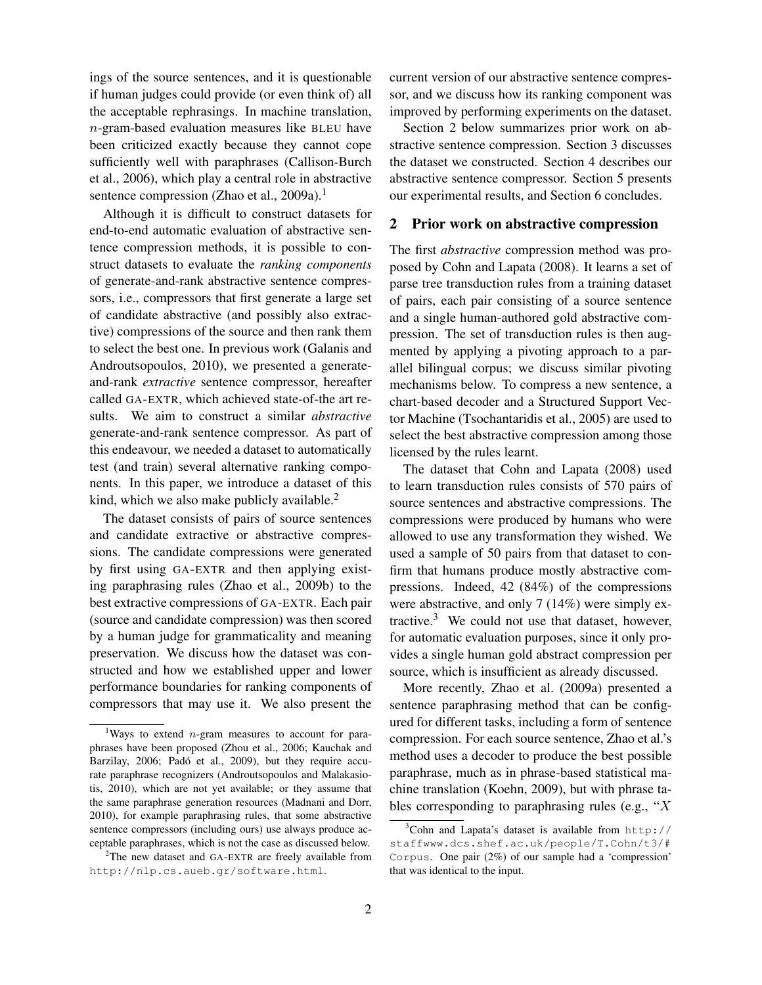ings of the source sentences, and it is questionable if human judges could provide (or even think of) all the acceptable rephrasings. In machine translation, n-gram-based evaluation measures like BLEU have been criticized exactly because they cannot cope sufficiently well with paraphrases (Callison-Burch et al., 2006), which play a central role in abstractive sentence compression (Zhao et al., 2009a).<sup>1</sup>

Although it is difficult to construct datasets for end-to-end automatic evaluation of abstractive sentence compression methods, it is possible to construct datasets to evaluate the *ranking components* of generate-and-rank abstractive sentence compressors, i.e., compressors that first generate a large set of candidate abstractive (and possibly also extractive) compressions of the source and then rank them to select the best one. In previous work (Galanis and Androutsopoulos, 2010), we presented a generateand-rank *extractive* sentence compressor, hereafter called GA-EXTR, which achieved state-of-the art results. We aim to construct a similar *abstractive* generate-and-rank sentence compressor. As part of this endeavour, we needed a dataset to automatically test (and train) several alternative ranking components. In this paper, we introduce a dataset of this kind, which we also make publicly available.<sup>2</sup>

The dataset consists of pairs of source sentences and candidate extractive or abstractive compressions. The candidate compressions were generated by first using GA-EXTR and then applying existing paraphrasing rules (Zhao et al., 2009b) to the best extractive compressions of GA-EXTR. Each pair (source and candidate compression) was then scored by a human judge for grammaticality and meaning preservation. We discuss how the dataset was constructed and how we established upper and lower performance boundaries for ranking components of compressors that may use it. We also present the current version of our abstractive sentence compressor, and we discuss how its ranking component was improved by performing experiments on the dataset.

Section 2 below summarizes prior work on abstractive sentence compression. Section 3 discusses the dataset we constructed. Section 4 describes our abstractive sentence compressor. Section 5 presents our experimental results, and Section 6 concludes.

## 2 Prior work on abstractive compression

The first *abstractive* compression method was proposed by Cohn and Lapata (2008). It learns a set of parse tree transduction rules from a training dataset of pairs, each pair consisting of a source sentence and a single human-authored gold abstractive compression. The set of transduction rules is then augmented by applying a pivoting approach to a parallel bilingual corpus; we discuss similar pivoting mechanisms below. To compress a new sentence, a chart-based decoder and a Structured Support Vector Machine (Tsochantaridis et al., 2005) are used to select the best abstractive compression among those licensed by the rules learnt.

The dataset that Cohn and Lapata (2008) used to learn transduction rules consists of 570 pairs of source sentences and abstractive compressions. The compressions were produced by humans who were allowed to use any transformation they wished. We used a sample of 50 pairs from that dataset to confirm that humans produce mostly abstractive compressions. Indeed, 42 (84%) of the compressions were abstractive, and only 7 (14%) were simply extractive. $3$  We could not use that dataset, however, for automatic evaluation purposes, since it only provides a single human gold abstract compression per source, which is insufficient as already discussed.

More recently, Zhao et al. (2009a) presented a sentence paraphrasing method that can be configured for different tasks, including a form of sentence compression. For each source sentence, Zhao et al.'s method uses a decoder to produce the best possible paraphrase, much as in phrase-based statistical machine translation (Koehn, 2009), but with phrase tables corresponding to paraphrasing rules (e.g., "X

<sup>&</sup>lt;sup>1</sup>Ways to extend *n*-gram measures to account for paraphrases have been proposed (Zhou et al., 2006; Kauchak and Barzilay, 2006; Padó et al., 2009), but they require accurate paraphrase recognizers (Androutsopoulos and Malakasiotis, 2010), which are not yet available; or they assume that the same paraphrase generation resources (Madnani and Dorr, 2010), for example paraphrasing rules, that some abstractive sentence compressors (including ours) use always produce acceptable paraphrases, which is not the case as discussed below.

<sup>&</sup>lt;sup>2</sup>The new dataset and GA-EXTR are freely available from http://nlp.cs.aueb.gr/software.html.

 $3$ Cohn and Lapata's dataset is available from http:// staffwww.dcs.shef.ac.uk/people/T.Cohn/t3/# Corpus. One pair (2%) of our sample had a 'compression' that was identical to the input.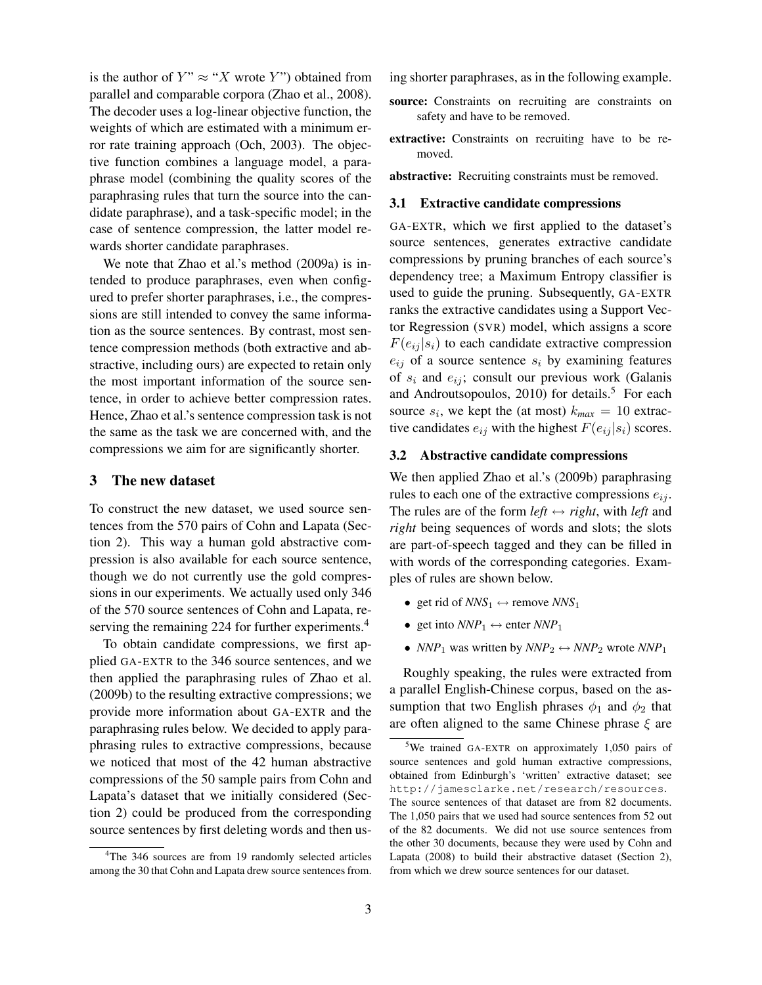is the author of  $Y'' \approx "X$  wrote Y") obtained from parallel and comparable corpora (Zhao et al., 2008). The decoder uses a log-linear objective function, the weights of which are estimated with a minimum error rate training approach (Och, 2003). The objective function combines a language model, a paraphrase model (combining the quality scores of the paraphrasing rules that turn the source into the candidate paraphrase), and a task-specific model; in the case of sentence compression, the latter model rewards shorter candidate paraphrases.

We note that Zhao et al.'s method (2009a) is intended to produce paraphrases, even when configured to prefer shorter paraphrases, i.e., the compressions are still intended to convey the same information as the source sentences. By contrast, most sentence compression methods (both extractive and abstractive, including ours) are expected to retain only the most important information of the source sentence, in order to achieve better compression rates. Hence, Zhao et al.'s sentence compression task is not the same as the task we are concerned with, and the compressions we aim for are significantly shorter.

## 3 The new dataset

To construct the new dataset, we used source sentences from the 570 pairs of Cohn and Lapata (Section 2). This way a human gold abstractive compression is also available for each source sentence, though we do not currently use the gold compressions in our experiments. We actually used only 346 of the 570 source sentences of Cohn and Lapata, reserving the remaining 224 for further experiments.<sup>4</sup>

To obtain candidate compressions, we first applied GA-EXTR to the 346 source sentences, and we then applied the paraphrasing rules of Zhao et al. (2009b) to the resulting extractive compressions; we provide more information about GA-EXTR and the paraphrasing rules below. We decided to apply paraphrasing rules to extractive compressions, because we noticed that most of the 42 human abstractive compressions of the 50 sample pairs from Cohn and Lapata's dataset that we initially considered (Section 2) could be produced from the corresponding source sentences by first deleting words and then using shorter paraphrases, as in the following example.

- source: Constraints on recruiting are constraints on safety and have to be removed.
- extractive: Constraints on recruiting have to be removed.

abstractive: Recruiting constraints must be removed.

#### 3.1 Extractive candidate compressions

GA-EXTR, which we first applied to the dataset's source sentences, generates extractive candidate compressions by pruning branches of each source's dependency tree; a Maximum Entropy classifier is used to guide the pruning. Subsequently, GA-EXTR ranks the extractive candidates using a Support Vector Regression (SVR) model, which assigns a score  $F(e_{ij} | s_i)$  to each candidate extractive compression  $e_{ij}$  of a source sentence  $s_i$  by examining features of  $s_i$  and  $e_{ij}$ ; consult our previous work (Galanis and Androutsopoulos,  $2010$ ) for details.<sup>5</sup> For each source  $s_i$ , we kept the (at most)  $k_{max} = 10$  extractive candidates  $e_{ij}$  with the highest  $F(e_{ij} | s_i)$  scores.

### 3.2 Abstractive candidate compressions

We then applied Zhao et al.'s (2009b) paraphrasing rules to each one of the extractive compressions  $e_{ij}$ . The rules are of the form  $left \leftrightarrow right$ , with *left* and *right* being sequences of words and slots; the slots are part-of-speech tagged and they can be filled in with words of the corresponding categories. Examples of rules are shown below.

- get rid of  $NNS_1 \leftrightarrow$  remove  $NNS_1$
- get into  $NNP_1 \leftrightarrow$  enter  $NNP_1$
- *NNP*<sub>1</sub> was written by  $NNP_2 \leftrightarrow NNP_2$  wrote  $NNP_1$

Roughly speaking, the rules were extracted from a parallel English-Chinese corpus, based on the assumption that two English phrases  $\phi_1$  and  $\phi_2$  that are often aligned to the same Chinese phrase  $\xi$  are

<sup>&</sup>lt;sup>4</sup>The 346 sources are from 19 randomly selected articles among the 30 that Cohn and Lapata drew source sentences from.

<sup>&</sup>lt;sup>5</sup>We trained GA-EXTR on approximately 1,050 pairs of source sentences and gold human extractive compressions, obtained from Edinburgh's 'written' extractive dataset; see http://jamesclarke.net/research/resources. The source sentences of that dataset are from 82 documents. The 1,050 pairs that we used had source sentences from 52 out of the 82 documents. We did not use source sentences from the other 30 documents, because they were used by Cohn and Lapata (2008) to build their abstractive dataset (Section 2), from which we drew source sentences for our dataset.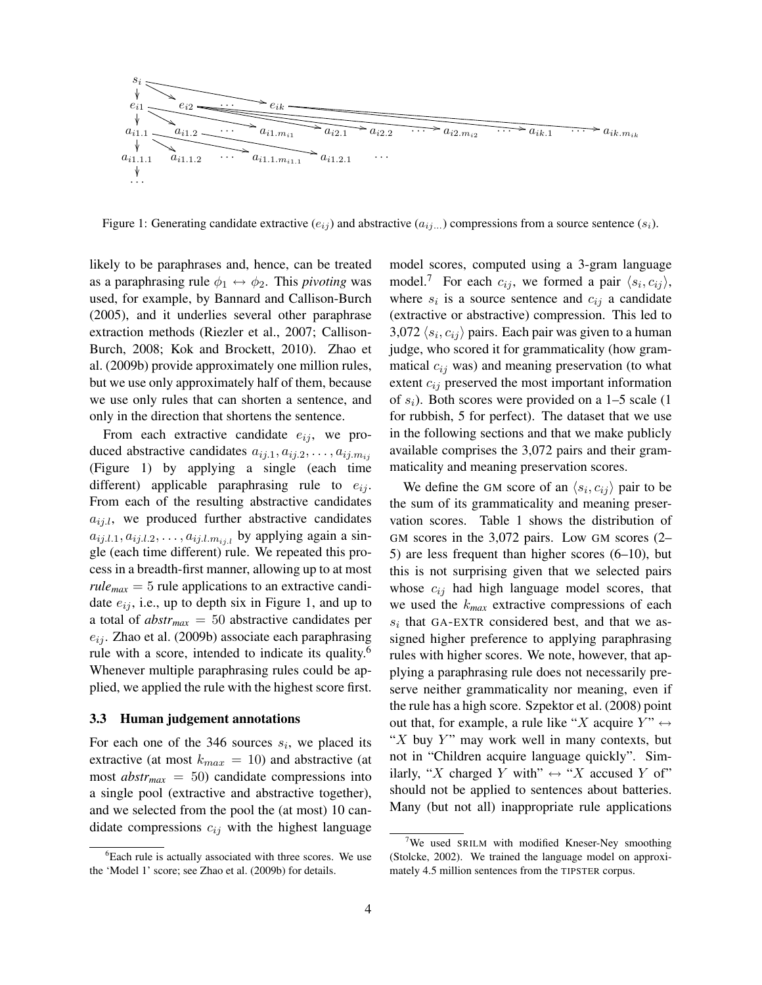

Figure 1: Generating candidate extractive  $(e_{ij})$  and abstractive  $(a_{ij...})$  compressions from a source sentence  $(s_i)$ .

likely to be paraphrases and, hence, can be treated as a paraphrasing rule  $\phi_1 \leftrightarrow \phi_2$ . This *pivoting* was used, for example, by Bannard and Callison-Burch (2005), and it underlies several other paraphrase extraction methods (Riezler et al., 2007; Callison-Burch, 2008; Kok and Brockett, 2010). Zhao et al. (2009b) provide approximately one million rules, but we use only approximately half of them, because we use only rules that can shorten a sentence, and only in the direction that shortens the sentence.

From each extractive candidate  $e_{ii}$ , we produced abstractive candidates  $a_{ij,1}, a_{ij,2}, \ldots, a_{ij,m_{ij}}$ (Figure 1) by applying a single (each time different) applicable paraphrasing rule to  $e_{ij}$ . From each of the resulting abstractive candidates  $a_{ij,l}$ , we produced further abstractive candidates  $a_{ij,l,1}, a_{ij,l,2}, \ldots, a_{ij,l,m_{ij,l}}$  by applying again a single (each time different) rule. We repeated this process in a breadth-first manner, allowing up to at most  $rule_{max} = 5$  rule applications to an extractive candidate  $e_{ij}$ , i.e., up to depth six in Figure 1, and up to a total of *abstrmax* = 50 abstractive candidates per  $e_{ij}$ . Zhao et al. (2009b) associate each paraphrasing rule with a score, intended to indicate its quality.<sup>6</sup> Whenever multiple paraphrasing rules could be applied, we applied the rule with the highest score first.

#### 3.3 Human judgement annotations

For each one of the 346 sources  $s_i$ , we placed its extractive (at most  $k_{max} = 10$ ) and abstractive (at most  $abstr_{max} = 50$ ) candidate compressions into a single pool (extractive and abstractive together), and we selected from the pool the (at most) 10 candidate compressions  $c_{ij}$  with the highest language model scores, computed using a 3-gram language model.<sup>7</sup> For each  $c_{ij}$ , we formed a pair  $\langle s_i, c_{ij} \rangle$ , where  $s_i$  is a source sentence and  $c_{ij}$  a candidate (extractive or abstractive) compression. This led to 3,072  $\langle s_i, c_{ij} \rangle$  pairs. Each pair was given to a human judge, who scored it for grammaticality (how grammatical  $c_{ij}$  was) and meaning preservation (to what extent  $c_{ij}$  preserved the most important information of  $s_i$ ). Both scores were provided on a 1–5 scale (1 for rubbish, 5 for perfect). The dataset that we use in the following sections and that we make publicly available comprises the 3,072 pairs and their grammaticality and meaning preservation scores.

We define the GM score of an  $\langle s_i, c_{ij} \rangle$  pair to be the sum of its grammaticality and meaning preservation scores. Table 1 shows the distribution of GM scores in the 3,072 pairs. Low GM scores (2– 5) are less frequent than higher scores (6–10), but this is not surprising given that we selected pairs whose  $c_{ij}$  had high language model scores, that we used the k*max* extractive compressions of each  $s_i$  that GA-EXTR considered best, and that we assigned higher preference to applying paraphrasing rules with higher scores. We note, however, that applying a paraphrasing rule does not necessarily preserve neither grammaticality nor meaning, even if the rule has a high score. Szpektor et al. (2008) point out that, for example, a rule like "X acquire  $Y$ "  $\leftrightarrow$ " $X$  buy  $Y$ " may work well in many contexts, but not in "Children acquire language quickly". Similarly, "X charged Y with"  $\leftrightarrow$  "X accused Y of" should not be applied to sentences about batteries. Many (but not all) inappropriate rule applications

<sup>&</sup>lt;sup>6</sup>Each rule is actually associated with three scores. We use the 'Model 1' score; see Zhao et al. (2009b) for details.

<sup>&</sup>lt;sup>7</sup>We used SRILM with modified Kneser-Ney smoothing (Stolcke, 2002). We trained the language model on approximately 4.5 million sentences from the TIPSTER corpus.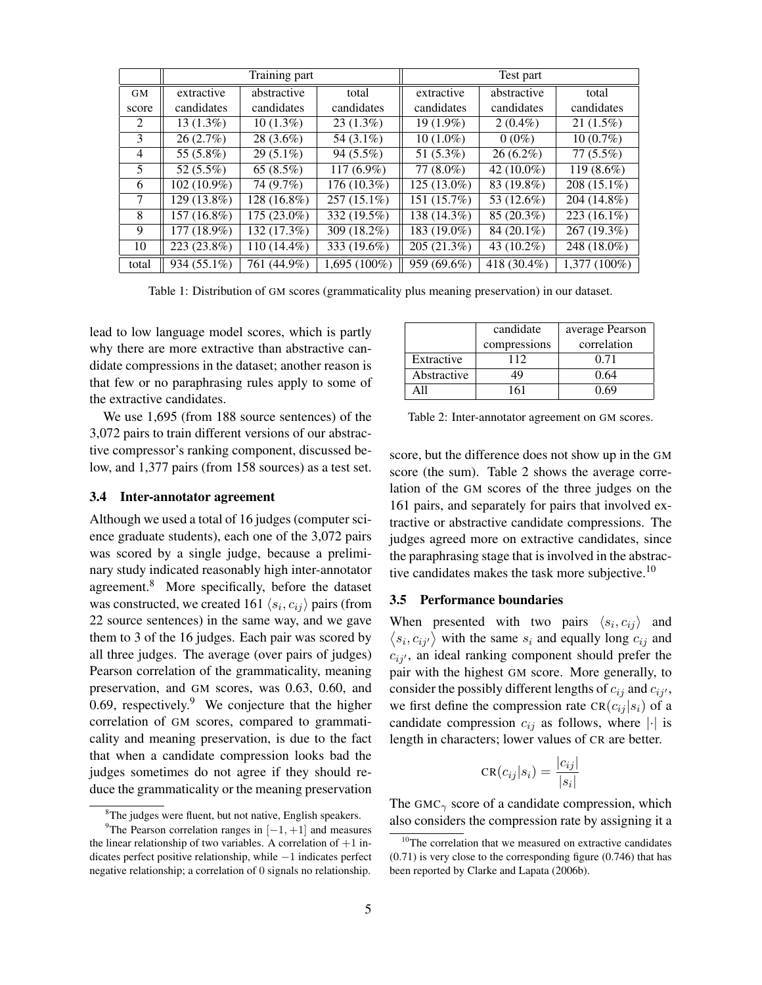|           | Training part |               |                | Test part     |               |                |
|-----------|---------------|---------------|----------------|---------------|---------------|----------------|
| <b>GM</b> | extractive    | abstractive   | total          | extractive    | abstractive   | total          |
| score     | candidates    | candidates    | candidates     | candidates    | candidates    | candidates     |
| 2         | $13(1.3\%)$   | $10(1.3\%)$   | $23(1.3\%)$    | 19 (1.9%)     | $2(0.4\%)$    | $21(1.5\%)$    |
| 3         | 26(2.7%)      | 28 (3.6%)     | 54 (3.1%)      | $10(1.0\%)$   | $0(0\%)$      | $10(0.7\%)$    |
| 4         | 55 (5.8%)     | $29(5.1\%)$   | $94(5.5\%)$    | 51 (5.3%)     | $26(6.2\%)$   | $77(5.5\%)$    |
| 5         | 52 $(5.5\%)$  | 65 $(8.5\%)$  | $117(6.9\%)$   | $77(8.0\%)$   | 42 $(10.0\%)$ | $119(8.6\%)$   |
| 6         | $102(10.9\%)$ | 74 (9.7%)     | 176 (10.3%)    | $125(13.0\%)$ | 83 (19.8%)    | 208 (15.1%)    |
| 7         | 129 (13.8%)   | 128 (16.8%)   | $257(15.1\%)$  | 151 (15.7%)   | 53 (12.6%)    | 204 (14.8%)    |
| 8         | 157 (16.8%)   | 175 (23.0%)   | 332 (19.5%)    | 138 (14.3%)   | 85 (20.3%)    | 223 (16.1%)    |
| 9         | 177 (18.9%)   | 132 (17.3%)   | 309 (18.2%)    | 183 (19.0%)   | 84 (20.1%)    | 267 (19.3%)    |
| 10        | 223 (23.8%)   | $110(14.4\%)$ | 333 (19.6%)    | 205 (21.3%)   | 43 (10.2%)    | 248 (18.0%)    |
| total     | 934 (55.1%)   | 761 (44.9%)   | $1,695(100\%)$ | 959 (69.6%)   | 418 (30.4%)   | $1.377(100\%)$ |

Table 1: Distribution of GM scores (grammaticality plus meaning preservation) in our dataset.

lead to low language model scores, which is partly why there are more extractive than abstractive candidate compressions in the dataset; another reason is that few or no paraphrasing rules apply to some of the extractive candidates.

We use 1,695 (from 188 source sentences) of the 3,072 pairs to train different versions of our abstractive compressor's ranking component, discussed below, and 1,377 pairs (from 158 sources) as a test set.

#### 3.4 Inter-annotator agreement

Although we used a total of 16 judges (computer science graduate students), each one of the 3,072 pairs was scored by a single judge, because a preliminary study indicated reasonably high inter-annotator agreement.<sup>8</sup> More specifically, before the dataset was constructed, we created 161  $\langle s_i, c_{ij} \rangle$  pairs (from 22 source sentences) in the same way, and we gave them to 3 of the 16 judges. Each pair was scored by all three judges. The average (over pairs of judges) Pearson correlation of the grammaticality, meaning preservation, and GM scores, was 0.63, 0.60, and 0.69, respectively. $9$  We conjecture that the higher correlation of GM scores, compared to grammaticality and meaning preservation, is due to the fact that when a candidate compression looks bad the judges sometimes do not agree if they should reduce the grammaticality or the meaning preservation

|             | candidate    | average Pearson |
|-------------|--------------|-----------------|
|             | compressions | correlation     |
| Extractive  | 112          | 0.71            |
| Abstractive | 49           | 0.64            |
| A 11        | 161          | () 69           |

Table 2: Inter-annotator agreement on GM scores.

score, but the difference does not show up in the GM score (the sum). Table 2 shows the average correlation of the GM scores of the three judges on the 161 pairs, and separately for pairs that involved extractive or abstractive candidate compressions. The judges agreed more on extractive candidates, since the paraphrasing stage that is involved in the abstractive candidates makes the task more subjective.<sup>10</sup>

#### 3.5 Performance boundaries

When presented with two pairs  $\langle s_i, c_{ij} \rangle$  and  $\langle s_i, c_{ij'} \rangle$  with the same  $s_i$  and equally long  $c_{ij}$  and  $c_{i,i'}$ , an ideal ranking component should prefer the pair with the highest GM score. More generally, to consider the possibly different lengths of  $c_{ij}$  and  $c_{ij'}$ , we first define the compression rate  $CR(c_{ij} | s_i)$  of a candidate compression  $c_{ij}$  as follows, where  $|\cdot|$  is length in characters; lower values of CR are better.

$$
CR(c_{ij}|s_i) = \frac{|c_{ij}|}{|s_i|}
$$

The GMC $<sub>γ</sub>$  score of a candidate compression, which</sub> also considers the compression rate by assigning it a

<sup>&</sup>lt;sup>8</sup>The judges were fluent, but not native, English speakers.

<sup>&</sup>lt;sup>9</sup>The Pearson correlation ranges in  $[-1, +1]$  and measures the linear relationship of two variables. A correlation of  $+1$  indicates perfect positive relationship, while −1 indicates perfect negative relationship; a correlation of 0 signals no relationship.

<sup>&</sup>lt;sup>10</sup>The correlation that we measured on extractive candidates (0.71) is very close to the corresponding figure (0.746) that has been reported by Clarke and Lapata (2006b).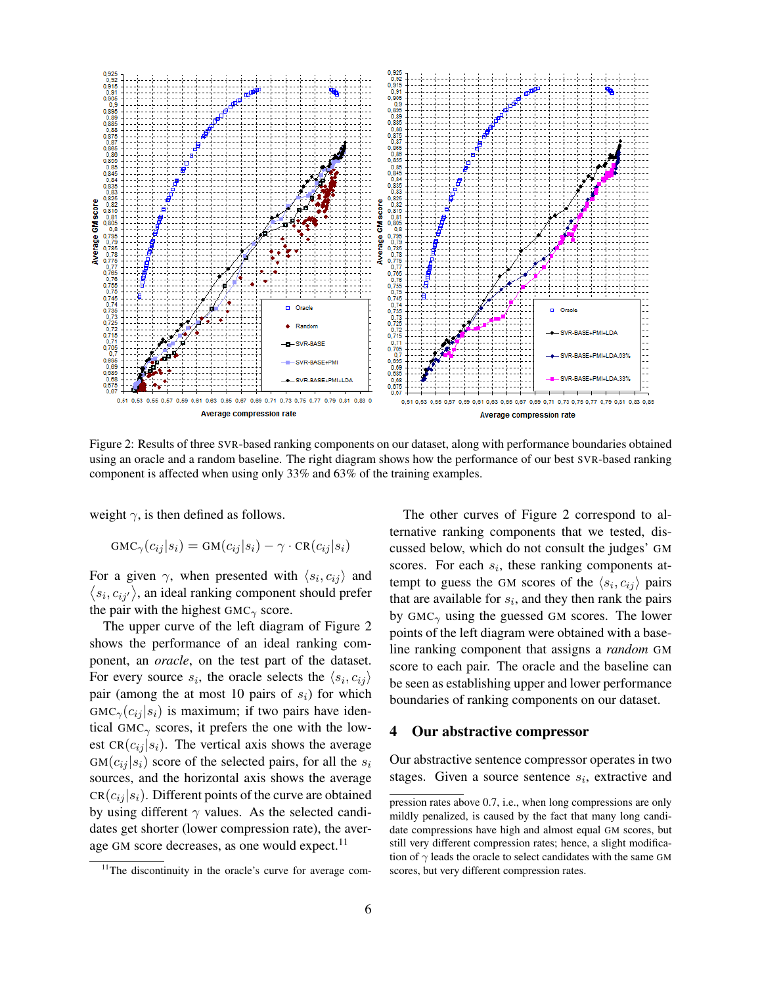

Figure 2: Results of three SVR-based ranking components on our dataset, along with performance boundaries obtained using an oracle and a random baseline. The right diagram shows how the performance of our best SVR-based ranking component is affected when using only 33% and 63% of the training examples.

weight  $\gamma$ , is then defined as follows.

$$
GMC_{\gamma}(c_{ij}|s_i) = GM(c_{ij}|s_i) - \gamma \cdot CR(c_{ij}|s_i)
$$

For a given  $\gamma$ , when presented with  $\langle s_i, c_{ij} \rangle$  and  $\langle s_i, c_{ij'} \rangle$ , an ideal ranking component should prefer the pair with the highest  $GMC_{\gamma}$  score.

The upper curve of the left diagram of Figure 2 shows the performance of an ideal ranking component, an *oracle*, on the test part of the dataset. For every source  $s_i$ , the oracle selects the  $\langle s_i, c_{ij} \rangle$ pair (among the at most 10 pairs of  $s_i$ ) for which  $GMC_{\gamma}(c_{ij} | s_i)$  is maximum; if two pairs have identical GMC $<sub>γ</sub>$  scores, it prefers the one with the low-</sub> est  $CR(c_{ij} | s_i)$ . The vertical axis shows the average  $GM(c_{ij} | s_i)$  score of the selected pairs, for all the  $s_i$ sources, and the horizontal axis shows the average  $CR(c_{ij} | s_i)$ . Different points of the curve are obtained by using different  $\gamma$  values. As the selected candidates get shorter (lower compression rate), the average GM score decreases, as one would expect. $^{11}$ 

The other curves of Figure 2 correspond to alternative ranking components that we tested, discussed below, which do not consult the judges' GM scores. For each  $s_i$ , these ranking components attempt to guess the GM scores of the  $\langle s_i, c_{ij} \rangle$  pairs that are available for  $s_i$ , and they then rank the pairs by  $GMC_{\gamma}$  using the guessed GM scores. The lower points of the left diagram were obtained with a baseline ranking component that assigns a *random* GM score to each pair. The oracle and the baseline can be seen as establishing upper and lower performance boundaries of ranking components on our dataset.

#### 4 Our abstractive compressor

Our abstractive sentence compressor operates in two stages. Given a source sentence  $s_i$ , extractive and

<sup>&</sup>lt;sup>11</sup>The discontinuity in the oracle's curve for average com-

pression rates above 0.7, i.e., when long compressions are only mildly penalized, is caused by the fact that many long candidate compressions have high and almost equal GM scores, but still very different compression rates; hence, a slight modification of  $\gamma$  leads the oracle to select candidates with the same GM scores, but very different compression rates.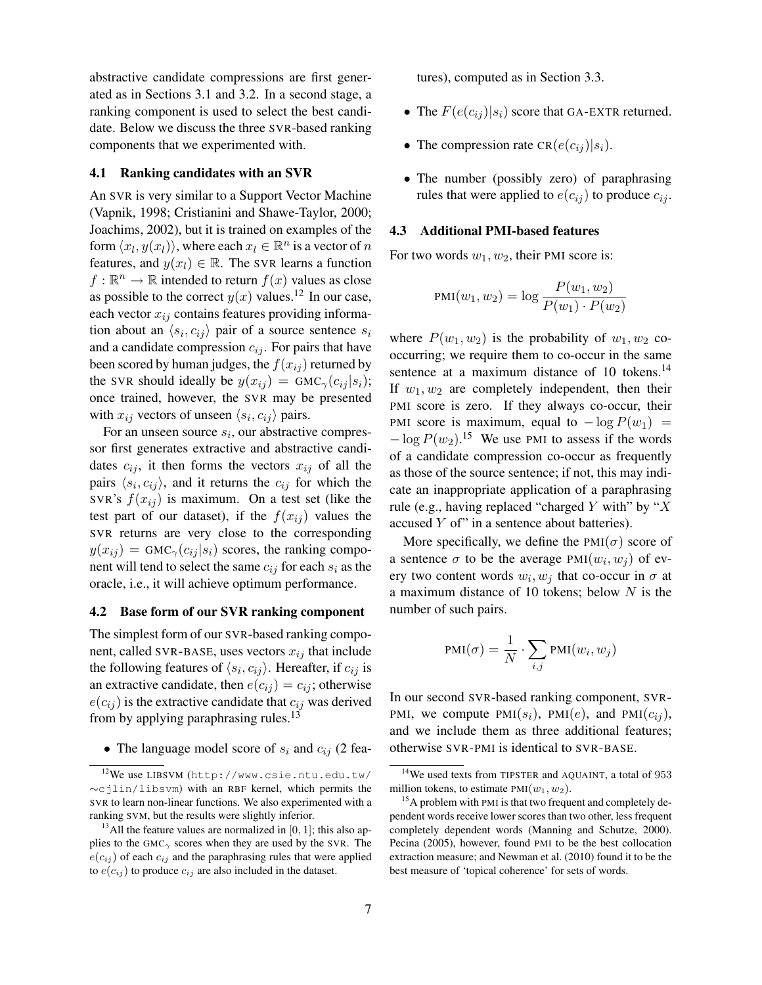abstractive candidate compressions are first generated as in Sections 3.1 and 3.2. In a second stage, a ranking component is used to select the best candidate. Below we discuss the three SVR-based ranking components that we experimented with.

#### 4.1 Ranking candidates with an SVR

An SVR is very similar to a Support Vector Machine (Vapnik, 1998; Cristianini and Shawe-Taylor, 2000; Joachims, 2002), but it is trained on examples of the form  $\langle x_l, y(x_l) \rangle$ , where each  $x_l \in \mathbb{R}^n$  is a vector of  $n$ features, and  $y(x_l) \in \mathbb{R}$ . The SVR learns a function  $f: \mathbb{R}^n \to \mathbb{R}$  intended to return  $f(x)$  values as close as possible to the correct  $y(x)$  values.<sup>12</sup> In our case, each vector  $x_{ij}$  contains features providing information about an  $\langle s_i, c_{ij} \rangle$  pair of a source sentence  $s_i$ and a candidate compression  $c_{ij}$ . For pairs that have been scored by human judges, the  $f(x_{ij})$  returned by the SVR should ideally be  $y(x_{ij}) = GMC_{\gamma}(c_{ij} | s_i);$ once trained, however, the SVR may be presented with  $x_{ij}$  vectors of unseen  $\langle s_i, c_{ij} \rangle$  pairs.

For an unseen source  $s_i$ , our abstractive compressor first generates extractive and abstractive candidates  $c_{ij}$ , it then forms the vectors  $x_{ij}$  of all the pairs  $\langle s_i, c_{ij} \rangle$ , and it returns the  $c_{ij}$  for which the SVR's  $f(x_{ij})$  is maximum. On a test set (like the test part of our dataset), if the  $f(x_{ij})$  values the SVR returns are very close to the corresponding  $y(x_{ij}) = GMC_{\gamma}(c_{ij} | s_i)$  scores, the ranking component will tend to select the same  $c_{ij}$  for each  $s_i$  as the oracle, i.e., it will achieve optimum performance.

## 4.2 Base form of our SVR ranking component

The simplest form of our SVR-based ranking component, called SVR-BASE, uses vectors  $x_{ij}$  that include the following features of  $\langle s_i, c_{ij} \rangle$ . Hereafter, if  $c_{ij}$  is an extractive candidate, then  $e(c_{ij}) = c_{ij}$ ; otherwise  $e(c_{ij})$  is the extractive candidate that  $c_{ij}$  was derived from by applying paraphrasing rules. $13$ 

• The language model score of  $s_i$  and  $c_{ij}$  (2 fea-

tures), computed as in Section 3.3.

- The  $F(e(c_{ij})|s_i)$  score that GA-EXTR returned.
- The compression rate  $CR(e(c_{ij})|s_i)$ .
- The number (possibly zero) of paraphrasing rules that were applied to  $e(c_{ij})$  to produce  $c_{ij}$ .

#### 4.3 Additional PMI-based features

For two words  $w_1, w_2$ , their PMI score is:

$$
PMI(w_1, w_2) = \log \frac{P(w_1, w_2)}{P(w_1) \cdot P(w_2)}
$$

where  $P(w_1, w_2)$  is the probability of  $w_1, w_2$  cooccurring; we require them to co-occur in the same sentence at a maximum distance of 10 tokens. $^{14}$ If  $w_1, w_2$  are completely independent, then their PMI score is zero. If they always co-occur, their PMI score is maximum, equal to  $-\log P(w_1)$  =  $-\log P(w_2)$ <sup>15</sup> We use PMI to assess if the words of a candidate compression co-occur as frequently as those of the source sentence; if not, this may indicate an inappropriate application of a paraphrasing rule (e.g., having replaced "charged Y with" by " $X$ accused Y of" in a sentence about batteries).

More specifically, we define the  $PMI(\sigma)$  score of a sentence  $\sigma$  to be the average PMI $(w_i, w_j)$  of every two content words  $w_i, w_j$  that co-occur in  $\sigma$  at a maximum distance of 10 tokens; below  $N$  is the number of such pairs.

$$
PMI(\sigma) = \frac{1}{N} \cdot \sum_{i,j} PMI(w_i, w_j)
$$

In our second SVR-based ranking component, SVR-PMI, we compute  $PMI(s_i)$ ,  $PMI(e)$ , and  $PMI(c_{ij})$ , and we include them as three additional features; otherwise SVR-PMI is identical to SVR-BASE.

<sup>12</sup>We use LIBSVM (http://www.csie.ntu.edu.tw/ ∼cjlin/libsvm) with an RBF kernel, which permits the SVR to learn non-linear functions. We also experimented with a ranking SVM, but the results were slightly inferior.

<sup>&</sup>lt;sup>13</sup>All the feature values are normalized in [0, 1]; this also applies to the GMC<sub>γ</sub> scores when they are used by the SVR. The  $e(c_{ij})$  of each  $c_{ij}$  and the paraphrasing rules that were applied to  $e(c_{ij})$  to produce  $c_{ij}$  are also included in the dataset.

<sup>&</sup>lt;sup>14</sup>We used texts from TIPSTER and AQUAINT, a total of 953 million tokens, to estimate  $PMI(w_1, w_2)$ .

 $15A$  problem with PMI is that two frequent and completely dependent words receive lower scores than two other, less frequent completely dependent words (Manning and Schutze, 2000). Pecina (2005), however, found PMI to be the best collocation extraction measure; and Newman et al. (2010) found it to be the best measure of 'topical coherence' for sets of words.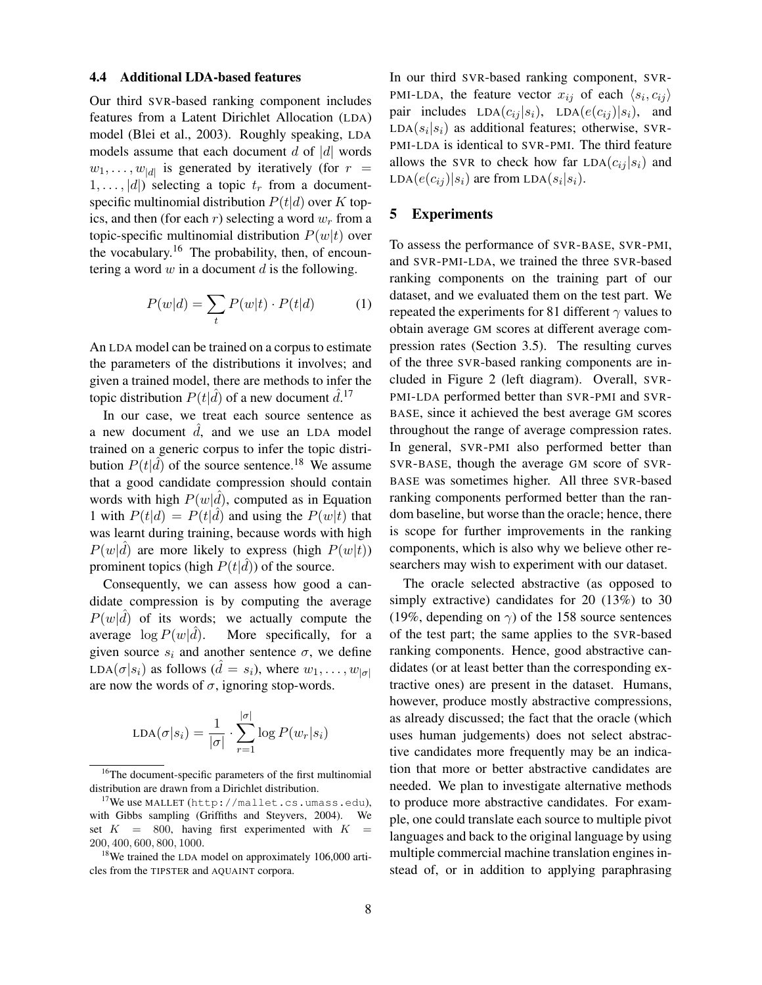#### 4.4 Additional LDA-based features

Our third SVR-based ranking component includes features from a Latent Dirichlet Allocation (LDA) model (Blei et al., 2003). Roughly speaking, LDA models assume that each document  $d$  of  $|d|$  words  $w_1, \ldots, w_{|d|}$  is generated by iteratively (for  $r =$  $1, \ldots, |d|$ ) selecting a topic  $t_r$  from a documentspecific multinomial distribution  $P(t|d)$  over K topics, and then (for each r) selecting a word  $w_r$  from a topic-specific multinomial distribution  $P(w|t)$  over the vocabulary.<sup>16</sup> The probability, then, of encountering a word  $w$  in a document  $d$  is the following.

$$
P(w|d) = \sum_{t} P(w|t) \cdot P(t|d)
$$
 (1)

An LDA model can be trained on a corpus to estimate the parameters of the distributions it involves; and given a trained model, there are methods to infer the topic distribution  $P(t|\hat{d})$  of a new document  $\hat{d}$ .<sup>17</sup>

In our case, we treat each source sentence as a new document  $\hat{d}$ , and we use an LDA model trained on a generic corpus to infer the topic distribution  $P(t|\hat{d})$  of the source sentence.<sup>18</sup> We assume that a good candidate compression should contain words with high  $P(w|\hat{d})$ , computed as in Equation 1 with  $P(t|d) = P(t|\hat{d})$  and using the  $P(w|t)$  that was learnt during training, because words with high  $P(w|\hat{d})$  are more likely to express (high  $P(w|\hat{t})$ ) prominent topics (high  $P(t|\hat{d})$ ) of the source.

Consequently, we can assess how good a candidate compression is by computing the average  $P(w|\hat{d})$  of its words; we actually compute the average  $\log P(w|\tilde{d})$ . More specifically, for a given source  $s_i$  and another sentence  $\sigma$ , we define LDA( $\sigma | s_i$ ) as follows ( $\tilde{d} = s_i$ ), where  $w_1, \ldots, w_{|\sigma|}$ are now the words of  $\sigma$ , ignoring stop-words.

$$
LDA(\sigma|s_i) = \frac{1}{|\sigma|} \cdot \sum_{r=1}^{|\sigma|} \log P(w_r|s_i)
$$

In our third SVR-based ranking component, SVR-PMI-LDA, the feature vector  $x_{ij}$  of each  $\langle s_i, c_{ij} \rangle$ pair includes  $LDA(c_{ij} | s_i)$ ,  $LDA(e(c_{ij}) | s_i)$ , and  $LDA(s_i|s_i)$  as additional features; otherwise, SVR-PMI-LDA is identical to SVR-PMI. The third feature allows the SVR to check how far  $LDA(c_{ij} | s_i)$  and LDA $(e(c_{ij})|s_i)$  are from LDA $(s_i|s_i)$ .

## 5 Experiments

To assess the performance of SVR-BASE, SVR-PMI, and SVR-PMI-LDA, we trained the three SVR-based ranking components on the training part of our dataset, and we evaluated them on the test part. We repeated the experiments for 81 different  $\gamma$  values to obtain average GM scores at different average compression rates (Section 3.5). The resulting curves of the three SVR-based ranking components are included in Figure 2 (left diagram). Overall, SVR-PMI-LDA performed better than SVR-PMI and SVR-BASE, since it achieved the best average GM scores throughout the range of average compression rates. In general, SVR-PMI also performed better than SVR-BASE, though the average GM score of SVR-BASE was sometimes higher. All three SVR-based ranking components performed better than the random baseline, but worse than the oracle; hence, there is scope for further improvements in the ranking components, which is also why we believe other researchers may wish to experiment with our dataset.

The oracle selected abstractive (as opposed to simply extractive) candidates for 20 (13%) to 30 (19%, depending on  $\gamma$ ) of the 158 source sentences of the test part; the same applies to the SVR-based ranking components. Hence, good abstractive candidates (or at least better than the corresponding extractive ones) are present in the dataset. Humans, however, produce mostly abstractive compressions, as already discussed; the fact that the oracle (which uses human judgements) does not select abstractive candidates more frequently may be an indication that more or better abstractive candidates are needed. We plan to investigate alternative methods to produce more abstractive candidates. For example, one could translate each source to multiple pivot languages and back to the original language by using multiple commercial machine translation engines instead of, or in addition to applying paraphrasing

<sup>&</sup>lt;sup>16</sup>The document-specific parameters of the first multinomial distribution are drawn from a Dirichlet distribution.

<sup>&</sup>lt;sup>17</sup>We use MALLET (http://mallet.cs.umass.edu), with Gibbs sampling (Griffiths and Steyvers, 2004). We set  $K = 800$ , having first experimented with  $K =$ 200, 400, 600, 800, 1000.

<sup>&</sup>lt;sup>18</sup>We trained the LDA model on approximately 106,000 articles from the TIPSTER and AQUAINT corpora.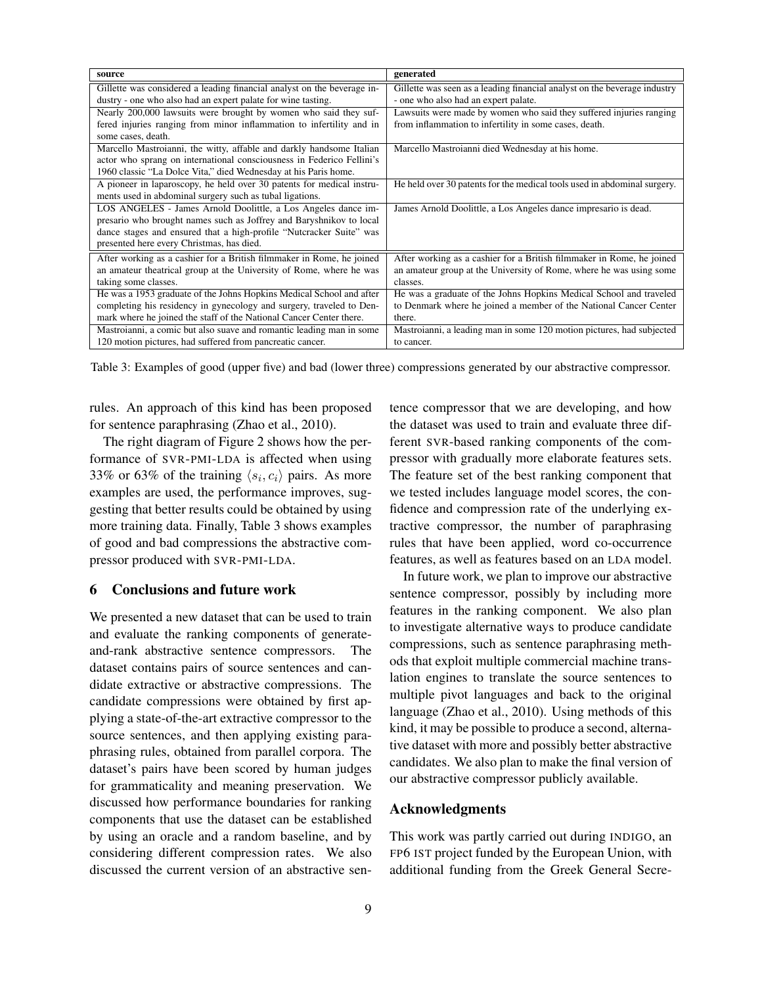| source                                                                  | generated                                                                 |
|-------------------------------------------------------------------------|---------------------------------------------------------------------------|
| Gillette was considered a leading financial analyst on the beverage in- | Gillette was seen as a leading financial analyst on the beverage industry |
| dustry - one who also had an expert palate for wine tasting.            | - one who also had an expert palate.                                      |
| Nearly 200,000 lawsuits were brought by women who said they suf-        | Lawsuits were made by women who said they suffered injuries ranging       |
| fered injuries ranging from minor inflammation to infertility and in    | from inflammation to infertility in some cases, death.                    |
| some cases, death.                                                      |                                                                           |
| Marcello Mastroianni, the witty, affable and darkly handsome Italian    | Marcello Mastroianni died Wednesday at his home.                          |
| actor who sprang on international consciousness in Federico Fellini's   |                                                                           |
| 1960 classic "La Dolce Vita," died Wednesday at his Paris home.         |                                                                           |
| A pioneer in laparoscopy, he held over 30 patents for medical instru-   | He held over 30 patents for the medical tools used in abdominal surgery.  |
| ments used in abdominal surgery such as tubal ligations.                |                                                                           |
| LOS ANGELES - James Arnold Doolittle, a Los Angeles dance im-           | James Arnold Doolittle, a Los Angeles dance impresario is dead.           |
| presario who brought names such as Joffrey and Baryshnikov to local     |                                                                           |
| dance stages and ensured that a high-profile "Nutcracker Suite" was     |                                                                           |
| presented here every Christmas, has died.                               |                                                                           |
| After working as a cashier for a British filmmaker in Rome, he joined   | After working as a cashier for a British filmmaker in Rome, he joined     |
| an amateur theatrical group at the University of Rome, where he was     | an amateur group at the University of Rome, where he was using some       |
| taking some classes.                                                    | classes.                                                                  |
| He was a 1953 graduate of the Johns Hopkins Medical School and after    | He was a graduate of the Johns Hopkins Medical School and traveled        |
| completing his residency in gynecology and surgery, traveled to Den-    | to Denmark where he joined a member of the National Cancer Center         |
| mark where he joined the staff of the National Cancer Center there.     | there.                                                                    |
| Mastroianni, a comic but also suave and romantic leading man in some    | Mastroianni, a leading man in some 120 motion pictures, had subjected     |
| 120 motion pictures, had suffered from pancreatic cancer.               | to cancer.                                                                |

Table 3: Examples of good (upper five) and bad (lower three) compressions generated by our abstractive compressor.

rules. An approach of this kind has been proposed for sentence paraphrasing (Zhao et al., 2010).

The right diagram of Figure 2 shows how the performance of SVR-PMI-LDA is affected when using 33% or 63% of the training  $\langle s_i, c_i \rangle$  pairs. As more examples are used, the performance improves, suggesting that better results could be obtained by using more training data. Finally, Table 3 shows examples of good and bad compressions the abstractive compressor produced with SVR-PMI-LDA.

## 6 Conclusions and future work

We presented a new dataset that can be used to train and evaluate the ranking components of generateand-rank abstractive sentence compressors. The dataset contains pairs of source sentences and candidate extractive or abstractive compressions. The candidate compressions were obtained by first applying a state-of-the-art extractive compressor to the source sentences, and then applying existing paraphrasing rules, obtained from parallel corpora. The dataset's pairs have been scored by human judges for grammaticality and meaning preservation. We discussed how performance boundaries for ranking components that use the dataset can be established by using an oracle and a random baseline, and by considering different compression rates. We also discussed the current version of an abstractive sentence compressor that we are developing, and how the dataset was used to train and evaluate three different SVR-based ranking components of the compressor with gradually more elaborate features sets. The feature set of the best ranking component that we tested includes language model scores, the confidence and compression rate of the underlying extractive compressor, the number of paraphrasing rules that have been applied, word co-occurrence features, as well as features based on an LDA model.

In future work, we plan to improve our abstractive sentence compressor, possibly by including more features in the ranking component. We also plan to investigate alternative ways to produce candidate compressions, such as sentence paraphrasing methods that exploit multiple commercial machine translation engines to translate the source sentences to multiple pivot languages and back to the original language (Zhao et al., 2010). Using methods of this kind, it may be possible to produce a second, alternative dataset with more and possibly better abstractive candidates. We also plan to make the final version of our abstractive compressor publicly available.

## Acknowledgments

This work was partly carried out during INDIGO, an FP6 IST project funded by the European Union, with additional funding from the Greek General Secre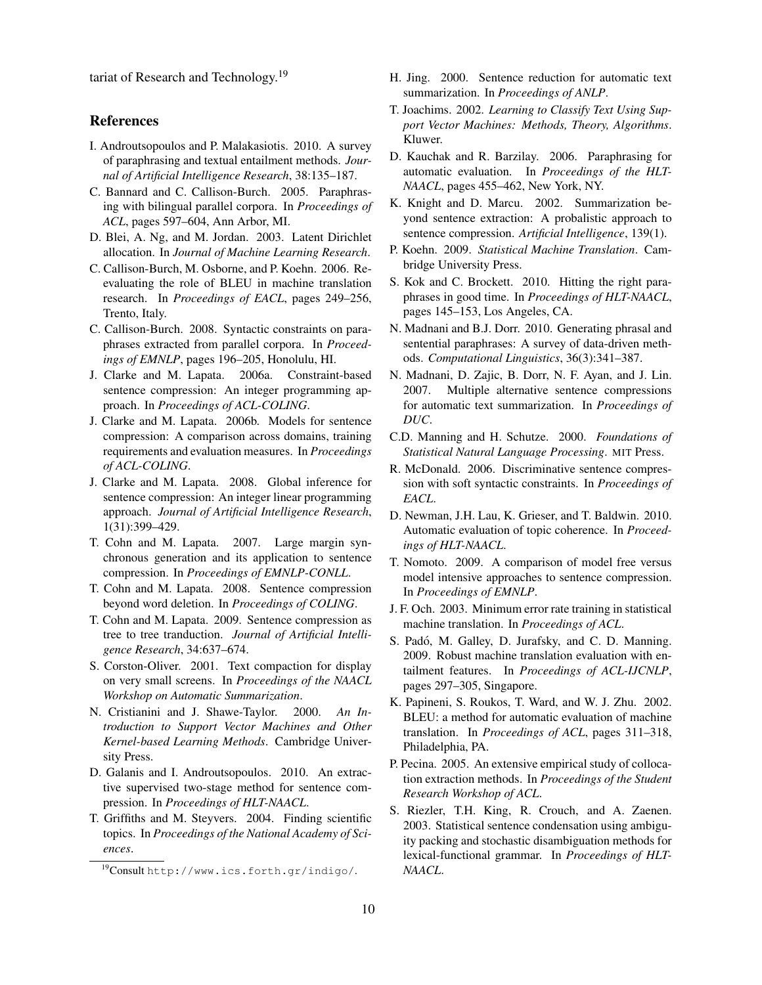tariat of Research and Technology.<sup>19</sup>

## References

- I. Androutsopoulos and P. Malakasiotis. 2010. A survey of paraphrasing and textual entailment methods. *Journal of Artificial Intelligence Research*, 38:135–187.
- C. Bannard and C. Callison-Burch. 2005. Paraphrasing with bilingual parallel corpora. In *Proceedings of ACL*, pages 597–604, Ann Arbor, MI.
- D. Blei, A. Ng, and M. Jordan. 2003. Latent Dirichlet allocation. In *Journal of Machine Learning Research*.
- C. Callison-Burch, M. Osborne, and P. Koehn. 2006. Reevaluating the role of BLEU in machine translation research. In *Proceedings of EACL*, pages 249–256, Trento, Italy.
- C. Callison-Burch. 2008. Syntactic constraints on paraphrases extracted from parallel corpora. In *Proceedings of EMNLP*, pages 196–205, Honolulu, HI.
- J. Clarke and M. Lapata. 2006a. Constraint-based sentence compression: An integer programming approach. In *Proceedings of ACL-COLING*.
- J. Clarke and M. Lapata. 2006b. Models for sentence compression: A comparison across domains, training requirements and evaluation measures. In *Proceedings of ACL-COLING*.
- J. Clarke and M. Lapata. 2008. Global inference for sentence compression: An integer linear programming approach. *Journal of Artificial Intelligence Research*, 1(31):399–429.
- T. Cohn and M. Lapata. 2007. Large margin synchronous generation and its application to sentence compression. In *Proceedings of EMNLP-CONLL*.
- T. Cohn and M. Lapata. 2008. Sentence compression beyond word deletion. In *Proceedings of COLING*.
- T. Cohn and M. Lapata. 2009. Sentence compression as tree to tree tranduction. *Journal of Artificial Intelligence Research*, 34:637–674.
- S. Corston-Oliver. 2001. Text compaction for display on very small screens. In *Proceedings of the NAACL Workshop on Automatic Summarization*.
- N. Cristianini and J. Shawe-Taylor. 2000. *An Introduction to Support Vector Machines and Other Kernel-based Learning Methods*. Cambridge University Press.
- D. Galanis and I. Androutsopoulos. 2010. An extractive supervised two-stage method for sentence compression. In *Proceedings of HLT-NAACL*.
- T. Griffiths and M. Steyvers. 2004. Finding scientific topics. In *Proceedings of the National Academy of Sciences*.
- H. Jing. 2000. Sentence reduction for automatic text summarization. In *Proceedings of ANLP*.
- T. Joachims. 2002. *Learning to Classify Text Using Support Vector Machines: Methods, Theory, Algorithms*. Kluwer.
- D. Kauchak and R. Barzilay. 2006. Paraphrasing for automatic evaluation. In *Proceedings of the HLT-NAACL*, pages 455–462, New York, NY.
- K. Knight and D. Marcu. 2002. Summarization beyond sentence extraction: A probalistic approach to sentence compression. *Artificial Intelligence*, 139(1).
- P. Koehn. 2009. *Statistical Machine Translation*. Cambridge University Press.
- S. Kok and C. Brockett. 2010. Hitting the right paraphrases in good time. In *Proceedings of HLT-NAACL*, pages 145–153, Los Angeles, CA.
- N. Madnani and B.J. Dorr. 2010. Generating phrasal and sentential paraphrases: A survey of data-driven methods. *Computational Linguistics*, 36(3):341–387.
- N. Madnani, D. Zajic, B. Dorr, N. F. Ayan, and J. Lin. 2007. Multiple alternative sentence compressions for automatic text summarization. In *Proceedings of DUC*.
- C.D. Manning and H. Schutze. 2000. *Foundations of Statistical Natural Language Processing*. MIT Press.
- R. McDonald. 2006. Discriminative sentence compression with soft syntactic constraints. In *Proceedings of EACL*.
- D. Newman, J.H. Lau, K. Grieser, and T. Baldwin. 2010. Automatic evaluation of topic coherence. In *Proceedings of HLT-NAACL*.
- T. Nomoto. 2009. A comparison of model free versus model intensive approaches to sentence compression. In *Proceedings of EMNLP*.
- J. F. Och. 2003. Minimum error rate training in statistical machine translation. In *Proceedings of ACL*.
- S. Padó, M. Galley, D. Jurafsky, and C. D. Manning. 2009. Robust machine translation evaluation with entailment features. In *Proceedings of ACL-IJCNLP*, pages 297–305, Singapore.
- K. Papineni, S. Roukos, T. Ward, and W. J. Zhu. 2002. BLEU: a method for automatic evaluation of machine translation. In *Proceedings of ACL*, pages 311–318, Philadelphia, PA.
- P. Pecina. 2005. An extensive empirical study of collocation extraction methods. In *Proceedings of the Student Research Workshop of ACL*.
- S. Riezler, T.H. King, R. Crouch, and A. Zaenen. 2003. Statistical sentence condensation using ambiguity packing and stochastic disambiguation methods for lexical-functional grammar. In *Proceedings of HLT-NAACL*.

 $19$ Consult http://www.ics.forth.gr/indigo/.